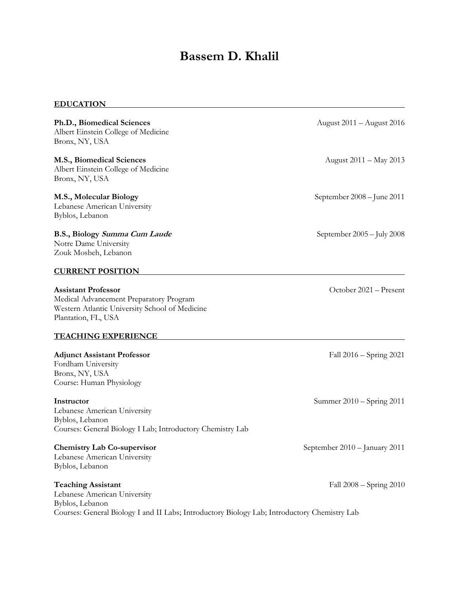# **Bassem D. Khalil**

## **EDUCATION**

| Ph.D., Biomedical Sciences<br>Albert Einstein College of Medicine<br>Bronx, NY, USA                                                                                          | August 2011 - August 2016     |
|------------------------------------------------------------------------------------------------------------------------------------------------------------------------------|-------------------------------|
| M.S., Biomedical Sciences<br>Albert Einstein College of Medicine<br>Bronx, NY, USA                                                                                           | August 2011 - May 2013        |
| M.S., Molecular Biology<br>Lebanese American University<br>Byblos, Lebanon                                                                                                   | September 2008 - June 2011    |
| B.S., Biology Summa Cum Laude<br>Notre Dame University<br>Zouk Mosbeh, Lebanon                                                                                               | September 2005 - July 2008    |
| <b>CURRENT POSITION</b>                                                                                                                                                      |                               |
| <b>Assistant Professor</b><br>Medical Advancement Preparatory Program<br>Western Atlantic University School of Medicine<br>Plantation, FL, USA                               | October 2021 - Present        |
| <b>TEACHING EXPERIENCE</b>                                                                                                                                                   |                               |
| <b>Adjunct Assistant Professor</b><br>Fordham University<br>Bronx, NY, USA<br>Course: Human Physiology                                                                       | Fall 2016 – Spring 2021       |
| Instructor<br>Lebanese American University<br>Byblos, Lebanon<br>Courses: General Biology I Lab; Introductory Chemistry Lab                                                  | Summer 2010 – Spring 2011     |
| <b>Chemistry Lab Co-supervisor</b><br>Lebanese American University<br>Byblos, Lebanon                                                                                        | September 2010 - January 2011 |
| <b>Teaching Assistant</b><br>Lebanese American University<br>Byblos, Lebanon<br>Courses: General Biology I and II Labs; Introductory Biology Lab; Introductory Chemistry Lab | Fall 2008 – Spring 2010       |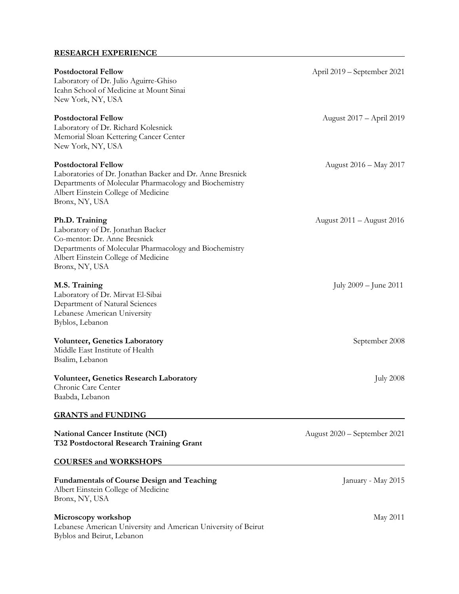### **RESEARCH EXPERIENCE**

| <b>Postdoctoral Fellow</b><br>Laboratory of Dr. Julio Aguirre-Ghiso<br>Icahn School of Medicine at Mount Sinai<br>New York, NY, USA                                                                        | April 2019 – September 2021  |
|------------------------------------------------------------------------------------------------------------------------------------------------------------------------------------------------------------|------------------------------|
| <b>Postdoctoral Fellow</b><br>Laboratory of Dr. Richard Kolesnick<br>Memorial Sloan Kettering Cancer Center<br>New York, NY, USA                                                                           | August 2017 – April 2019     |
| <b>Postdoctoral Fellow</b><br>Laboratories of Dr. Jonathan Backer and Dr. Anne Bresnick<br>Departments of Molecular Pharmacology and Biochemistry<br>Albert Einstein College of Medicine<br>Bronx, NY, USA | August 2016 – May 2017       |
| Ph.D. Training<br>Laboratory of Dr. Jonathan Backer<br>Co-mentor: Dr. Anne Bresnick<br>Departments of Molecular Pharmacology and Biochemistry<br>Albert Einstein College of Medicine<br>Bronx, NY, USA     | August 2011 – August 2016    |
| M.S. Training<br>Laboratory of Dr. Mirvat El-Sibai<br>Department of Natural Sciences<br>Lebanese American University<br>Byblos, Lebanon                                                                    | July $2009 -$ June $2011$    |
| <b>Volunteer, Genetics Laboratory</b><br>Middle East Institute of Health<br>Bsalim, Lebanon                                                                                                                | September 2008               |
| <b>Volunteer, Genetics Research Laboratory</b><br>Chronic Care Center<br>Baabda, Lebanon<br><b>GRANTS and FUNDING</b>                                                                                      | <b>July 2008</b>             |
| <b>National Cancer Institute (NCI)</b><br><b>T32 Postdoctoral Research Training Grant</b>                                                                                                                  | August 2020 – September 2021 |
| <b>COURSES and WORKSHOPS</b>                                                                                                                                                                               |                              |
| <b>Fundamentals of Course Design and Teaching</b><br>Albert Einstein College of Medicine<br>Bronx, NY, USA                                                                                                 | January - May 2015           |
| Microscopy workshop                                                                                                                                                                                        | May 2011                     |

Lebanese American University and American University of Beirut Byblos and Beirut, Lebanon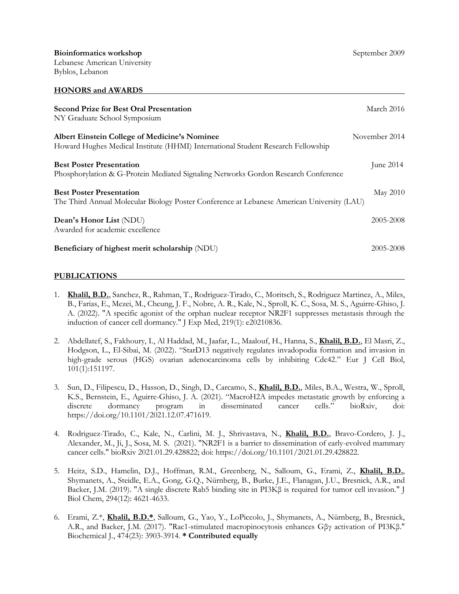| <b>Second Prize for Best Oral Presentation</b><br>NY Graduate School Symposium                                                           | March 2016    |
|------------------------------------------------------------------------------------------------------------------------------------------|---------------|
| <b>Albert Einstein College of Medicine's Nominee</b><br>Howard Hughes Medical Institute (HHMI) International Student Research Fellowship | November 2014 |
| <b>Best Poster Presentation</b><br>Phosphorylation & G-Protein Mediated Signaling Networks Gordon Research Conference                    | June 2014     |
| <b>Best Poster Presentation</b><br>The Third Annual Molecular Biology Poster Conference at Lebanese American University (LAU)            | May 2010      |
| Dean's Honor List (NDU)<br>Awarded for academic excellence                                                                               | 2005-2008     |
| Beneficiary of highest merit scholarship (NDU)                                                                                           | 2005-2008     |

#### **PUBLICATIONS**

- 1. **Khalil, B.D.**, Sanchez, R., Rahman, T., Rodriguez-Tirado, C., Moritsch, S., Rodriguez Martinez, A., Miles, B., Farias, E., Mezei, M., Cheung, J. F., Nobre, A. R., Kale, N., Sproll, K. C., Sosa, M. S., Aguirre-Ghiso, J. A. (2022). "A specific agonist of the orphan nuclear receptor NR2F1 suppresses metastasis through the induction of cancer cell dormancy." J Exp Med, 219(1): e20210836.
- 2. Abdellatef, S., Fakhoury, I., Al Haddad, M., Jaafar, L., Maalouf, H., Hanna, S., **Khalil, B.D.**, El Masri, Z., Hodgson, L., El-Sibai, M. (2022). "StarD13 negatively regulates invadopodia formation and invasion in high-grade serous (HGS) ovarian adenocarcinoma cells by inhibiting Cdc42." Eur J Cell Biol, 101(1):151197.
- 3. Sun, D., Filipescu, D., Hasson, D., Singh, D., Carcamo, S., **Khalil, B.D.**, Miles, B.A., Westra, W., Sproll, K.S., Bernstein, E., Aguirre-Ghiso, J. A. (2021). "MacroH2A impedes metastatic growth by enforcing a discrete dormancy program in disseminated cancer cells." bioRxiv, doi: https://doi.org/10.1101/2021.12.07.471619.
- 4. Rodriguez-Tirado, C., Kale, N., Carlini, M. J., Shrivastava, N., **Khalil, B.D.**, Bravo-Cordero, J. J., Alexander, M., Ji, J., Sosa, M. S. (2021). "NR2F1 is a barrier to dissemination of early-evolved mammary cancer cells." bioRxiv 2021.01.29.428822; doi: https://doi.org/10.1101/2021.01.29.428822.
- 5. Heitz, S.D., Hamelin, D.J., Hoffman, R.M., Greenberg, N., Salloum, G., Erami, Z., **Khalil, B.D.**, Shymanets, A., Steidle, E.A., Gong, G.Q., Nürnberg, B., Burke, J.E., Flanagan, J.U., Bresnick, A.R., and Backer, J.M. (2019). "A single discrete Rab5 binding site in PI3Kβ is required for tumor cell invasion." J Biol Chem, 294(12): 4621-4633.
- 6. Erami, Z.\*, **Khalil, B.D.\***, Salloum, G., Yao, Y., LoPiccolo, J., Shymanets, A., Nürnberg, B., Bresnick, A.R., and Backer, J.M. (2017). "Rac1-stimulated macropinocytosis enhances Gβγ activation of PI3Kβ." Biochemical J*.*, 474(23): 3903-3914. **\* Contributed equally**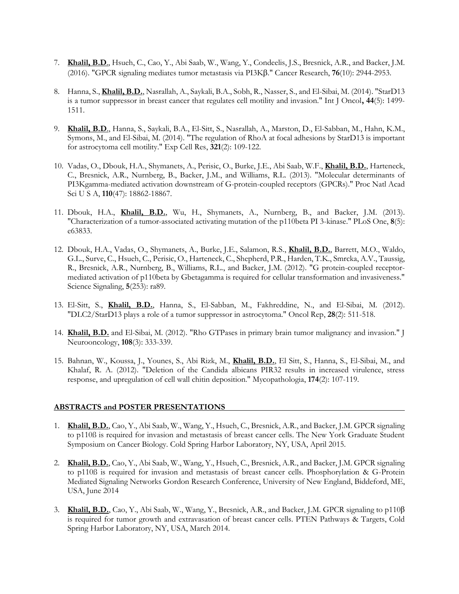- 7. **Khalil, B.D**., Hsueh, C., Cao, Y., Abi Saab, W., Wang, Y., Condeelis, J.S., Bresnick, A.R., and Backer, J.M. (2016). "GPCR signaling mediates tumor metastasis via PI3K." Cancer Research, **76**(10): 2944-2953.
- 8. Hanna, S., **Khalil, B.D.**, Nasrallah, A., Saykali, B.A., Sobh, R., Nasser, S., and El-Sibai, M. (2014). "StarD13 is a tumor suppressor in breast cancer that regulates cell motility and invasion." Int J Oncol**, 44**(5): 1499- 1511.
- 9. **Khalil, B.D**., Hanna, S., Saykali, B.A., El-Sitt, S., Nasrallah, A., Marston, D., El-Sabban, M., Hahn, K.M., Symons, M., and El-Sibai, M. (2014). "The regulation of RhoA at focal adhesions by StarD13 is important for astrocytoma cell motility." Exp Cell Res, **321**(2): 109-122.
- 10. Vadas, O., Dbouk, H.A., Shymanets, A., Perisic, O., Burke, J.E., Abi Saab, W.F., **Khalil, B.D.**, Harteneck, C., Bresnick, A.R., Nurnberg, B., Backer, J.M., and Williams, R.L. (2013). "Molecular determinants of PI3Kgamma-mediated activation downstream of G-protein-coupled receptors (GPCRs)." Proc Natl Acad Sci U S A, **110**(47): 18862-18867.
- 11. Dbouk, H.A., **Khalil, B.D.**, Wu, H., Shymanets, A., Nurnberg, B., and Backer, J.M. (2013). "Characterization of a tumor-associated activating mutation of the p110beta PI 3-kinase." PLoS One, **8**(5): e63833.
- 12. Dbouk, H.A., Vadas, O., Shymanets, A., Burke, J.E., Salamon, R.S., **Khalil, B.D.**, Barrett, M.O., Waldo, G.L., Surve, C., Hsueh, C., Perisic, O., Harteneck, C., Shepherd, P.R., Harden, T.K., Smrcka, A.V., Taussig, R., Bresnick, A.R., Nurnberg, B., Williams, R.L., and Backer, J.M. (2012). "G protein-coupled receptormediated activation of p110beta by Gbetagamma is required for cellular transformation and invasiveness." Science Signaling, **5**(253): ra89.
- 13. El-Sitt, S., **Khalil, B.D.**, Hanna, S., El-Sabban, M., Fakhreddine, N., and El-Sibai, M. (2012). "DLC2/StarD13 plays a role of a tumor suppressor in astrocytoma." Oncol Rep, **28**(2): 511-518.
- 14. **Khalil, B.D.** and El-Sibai, M. (2012). "Rho GTPases in primary brain tumor malignancy and invasion." J Neurooncology, **108**(3): 333-339.
- 15. Bahnan, W., Koussa, J., Younes, S., Abi Rizk, M., **Khalil, B.D.**, El Sitt, S., Hanna, S., El-Sibai, M., and Khalaf, R. A. (2012). "Deletion of the Candida albicans PIR32 results in increased virulence, stress response, and upregulation of cell wall chitin deposition." Mycopathologia, **174**(2): 107-119.

#### **ABSTRACTS and POSTER PRESENTATIONS**

- 1. **Khalil, B.D.**, Cao, Y., Abi Saab, W., Wang, Y., Hsueh, C., Bresnick, A.R., and Backer, J.M. GPCR signaling to p110ß is required for invasion and metastasis of breast cancer cells. The New York Graduate Student Symposium on Cancer Biology. Cold Spring Harbor Laboratory, NY, USA, April 2015.
- 2. **Khalil, B.D.**, Cao, Y., Abi Saab, W., Wang, Y., Hsueh, C., Bresnick, A.R., and Backer, J.M. GPCR signaling to p110ß is required for invasion and metastasis of breast cancer cells. Phosphorylation & G-Protein Mediated Signaling Networks Gordon Research Conference, University of New England, Biddeford, ME, USA, June 2014
- 3. **Khalil, B.D.**, Cao, Y., Abi Saab, W., Wang, Y., Bresnick, A.R., and Backer, J.M. GPCR signaling to p110β is required for tumor growth and extravasation of breast cancer cells. PTEN Pathways & Targets, Cold Spring Harbor Laboratory, NY, USA, March 2014.